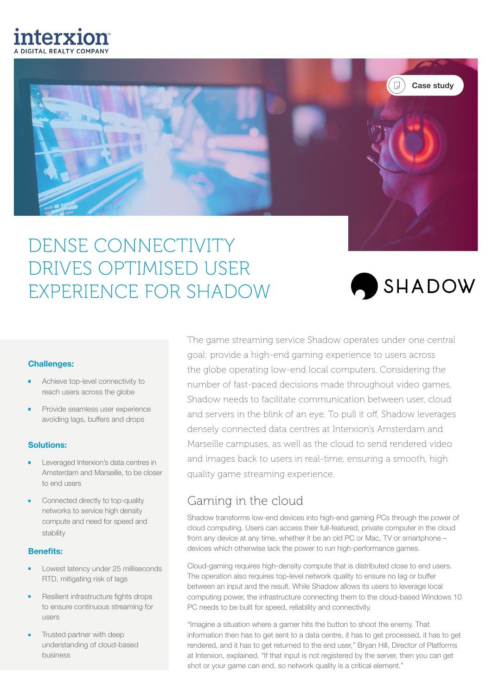# interxion



## DENSE CONNECTIVITY DRIVES OPTIMISED USER EXPERIENCE FOR SHADOW



#### Challenges:

- Achieve top-level connectivity to reach users across the globe
- Provide seamless user experience avoiding lags, buffers and drops

#### Solutions:

- Leveraged Interxion's data centres in Amsterdam and Marseille, to be closer to end users
- Connected directly to top-quality networks to service high density compute and need for speed and stability

#### Benefits:

- Lowest latency under 25 milliseconds RTD, mitigating risk of lags
- Resilient infrastructure fights drops to ensure continuous streaming for users
- Trusted partner with deep understanding of cloud-based business

The game streaming service Shadow operates under one central goal: provide a high-end gaming experience to users across the globe operating low-end local computers. Considering the number of fast-paced decisions made throughout video games, Shadow needs to facilitate communication between user, cloud and servers in the blink of an eye. To pull it off, Shadow leverages densely connected data centres at Interxion's Amsterdam and Marseille campuses, as well as the cloud to send rendered video and images back to users in real-time, ensuring a smooth, high quality game streaming experience.

## Gaming in the cloud

Shadow transforms low-end devices into high-end gaming PCs through the power of cloud computing. Users can access their full-featured, private computer in the cloud from any device at any time, whether it be an old PC or Mac, TV or smartphone – devices which otherwise lack the power to run high-performance games.

Cloud-gaming requires high-density compute that is distributed close to end users. The operation also requires top-level network quality to ensure no lag or buffer between an input and the result. While Shadow allows its users to leverage local computing power, the infrastructure connecting them to the cloud-based Windows 10 PC needs to be built for speed, reliability and connectivity.

"Imagine a situation where a gamer hits the button to shoot the enemy. That information then has to get sent to a data centre, it has to get processed, it has to get rendered, and it has to get returned to the end user," Bryan Hill, Director of Platforms at Interxion, explained. "If that input is not registered by the server, then you can get shot or your game can end, so network quality is a critical element."